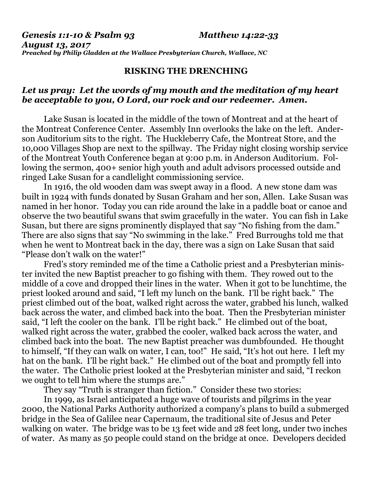*Genesis 1:1-10 & Psalm 93 Matthew 14:22-33 August 13, 2017 Preached by Philip Gladden at the Wallace Presbyterian Church, Wallace, NC*

## **RISKING THE DRENCHING**

## *Let us pray: Let the words of my mouth and the meditation of my heart be acceptable to you, O Lord, our rock and our redeemer. Amen.*

Lake Susan is located in the middle of the town of Montreat and at the heart of the Montreat Conference Center. Assembly Inn overlooks the lake on the left. Anderson Auditorium sits to the right. The Huckleberry Cafe, the Montreat Store, and the 10,000 Villages Shop are next to the spillway. The Friday night closing worship service of the Montreat Youth Conference began at 9:00 p.m. in Anderson Auditorium. Following the sermon, 400+ senior high youth and adult advisors processed outside and ringed Lake Susan for a candlelight commissioning service.

In 1916, the old wooden dam was swept away in a flood. A new stone dam was built in 1924 with funds donated by Susan Graham and her son, Allen. Lake Susan was named in her honor. Today you can ride around the lake in a paddle boat or canoe and observe the two beautiful swans that swim gracefully in the water. You can fish in Lake Susan, but there are signs prominently displayed that say "No fishing from the dam." There are also signs that say "No swimming in the lake." Fred Burroughs told me that when he went to Montreat back in the day, there was a sign on Lake Susan that said "Please don't walk on the water!"

Fred's story reminded me of the time a Catholic priest and a Presbyterian minister invited the new Baptist preacher to go fishing with them. They rowed out to the middle of a cove and dropped their lines in the water. When it got to be lunchtime, the priest looked around and said, "I left my lunch on the bank. I'll be right back." The priest climbed out of the boat, walked right across the water, grabbed his lunch, walked back across the water, and climbed back into the boat. Then the Presbyterian minister said, "I left the cooler on the bank. I'll be right back." He climbed out of the boat, walked right across the water, grabbed the cooler, walked back across the water, and climbed back into the boat. The new Baptist preacher was dumbfounded. He thought to himself, "If they can walk on water, I can, too!" He said, "It's hot out here. I left my hat on the bank. I'll be right back." He climbed out of the boat and promptly fell into the water. The Catholic priest looked at the Presbyterian minister and said, "I reckon we ought to tell him where the stumps are."

They say "Truth is stranger than fiction." Consider these two stories:

In 1999, as Israel anticipated a huge wave of tourists and pilgrims in the year 2000, the National Parks Authority authorized a company's plans to build a submerged bridge in the Sea of Galilee near Capernaum, the traditional site of Jesus and Peter walking on water. The bridge was to be 13 feet wide and 28 feet long, under two inches of water. As many as 50 people could stand on the bridge at once. Developers decided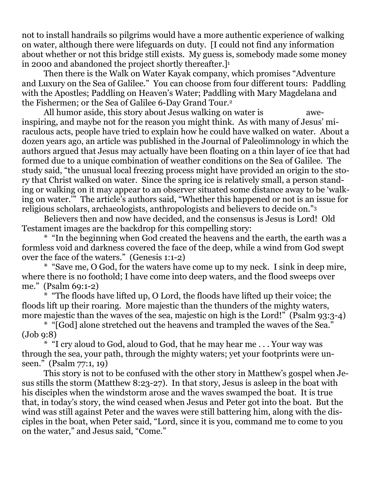not to install handrails so pilgrims would have a more authentic experience of walking on water, although there were lifeguards on duty. [I could not find any information about whether or not this bridge still exists. My guess is, somebody made some money in 2000 and abandoned the project shortly thereafter.]<sup>1</sup>

Then there is the Walk on Water Kayak company, which promises "Adventure and Luxury on the Sea of Galilee." You can choose from four different tours: Paddling with the Apostles; Paddling on Heaven's Water; Paddling with Mary Magdelana and the Fishermen; or the Sea of Galilee 6-Day Grand Tour.<sup>2</sup>

All humor aside, this story about Jesus walking on water is aweinspiring, and maybe not for the reason you might think. As with many of Jesus' miraculous acts, people have tried to explain how he could have walked on water. About a dozen years ago, an article was published in the Journal of Paleolimnology in which the authors argued that Jesus may actually have been floating on a thin layer of ice that had formed due to a unique combination of weather conditions on the Sea of Galilee. The study said, "the unusual local freezing process might have provided an origin to the story that Christ walked on water. Since the spring ice is relatively small, a person standing or walking on it may appear to an observer situated some distance away to be 'walking on water.'" The article's authors said, "Whether this happened or not is an issue for religious scholars, archaeologists, anthropologists and believers to decide on."<sup>3</sup>

Believers then and now have decided, and the consensus is Jesus is Lord! Old Testament images are the backdrop for this compelling story:

\* "In the beginning when God created the heavens and the earth, the earth was a formless void and darkness covered the face of the deep, while a wind from God swept over the face of the waters." (Genesis 1:1-2)

\* "Save me, O God, for the waters have come up to my neck. I sink in deep mire, where there is no foothold; I have come into deep waters, and the flood sweeps over me." (Psalm 69:1-2)

\* "The floods have lifted up, O Lord, the floods have lifted up their voice; the floods lift up their roaring. More majestic than the thunders of the mighty waters, more majestic than the waves of the sea, majestic on high is the Lord!" (Psalm 93:3-4)

\* "[God] alone stretched out the heavens and trampled the waves of the Sea." (Job 9:8)

 $*$  "I cry aloud to God, aloud to God, that he may hear me  $\ldots$  Your way was through the sea, your path, through the mighty waters; yet your footprints were unseen." (Psalm 77:1, 19)

This story is not to be confused with the other story in Matthew's gospel when Jesus stills the storm (Matthew 8:23-27). In that story, Jesus is asleep in the boat with his disciples when the windstorm arose and the waves swamped the boat. It is true that, in today's story, the wind ceased when Jesus and Peter got into the boat. But the wind was still against Peter and the waves were still battering him, along with the disciples in the boat, when Peter said, "Lord, since it is you, command me to come to you on the water," and Jesus said, "Come."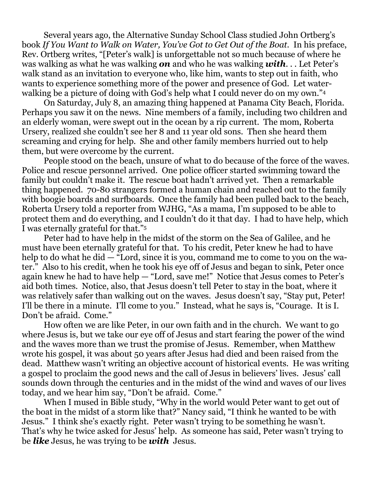Several years ago, the Alternative Sunday School Class studied John Ortberg's book *If You Want to Walk on Water, You've Got to Get Out of the Boat.* In his preface, Rev. Ortberg writes, "[Peter's walk] is unforgettable not so much because of where he was walking as what he was walking *on* and who he was walking *with*. . . Let Peter's walk stand as an invitation to everyone who, like him, wants to step out in faith, who wants to experience something more of the power and presence of God. Let waterwalking be a picture of doing with God's help what I could never do on my own."<sup>4</sup>

On Saturday, July 8, an amazing thing happened at Panama City Beach, Florida. Perhaps you saw it on the news. Nine members of a family, including two children and an elderly woman, were swept out in the ocean by a rip current. The mom, Roberta Ursery, realized she couldn't see her 8 and 11 year old sons. Then she heard them screaming and crying for help. She and other family members hurried out to help them, but were overcome by the current.

People stood on the beach, unsure of what to do because of the force of the waves. Police and rescue personnel arrived. One police officer started swimming toward the family but couldn't make it. The rescue boat hadn't arrived yet. Then a remarkable thing happened. 70-80 strangers formed a human chain and reached out to the family with boogie boards and surfboards. Once the family had been pulled back to the beach, Roberta Ursery told a reporter from WJHG, "As a mama, I'm supposed to be able to protect them and do everything, and I couldn't do it that day. I had to have help, which I was eternally grateful for that."<sup>5</sup>

Peter had to have help in the midst of the storm on the Sea of Galilee, and he must have been eternally grateful for that. To his credit, Peter knew he had to have help to do what he did — "Lord, since it is you, command me to come to you on the water." Also to his credit, when he took his eye off of Jesus and began to sink, Peter once again knew he had to have help — "Lord, save me!" Notice that Jesus comes to Peter's aid both times. Notice, also, that Jesus doesn't tell Peter to stay in the boat, where it was relatively safer than walking out on the waves. Jesus doesn't say, "Stay put, Peter! I'll be there in a minute. I'll come to you." Instead, what he says is, "Courage. It is I. Don't be afraid. Come."

How often we are like Peter, in our own faith and in the church. We want to go where Jesus is, but we take our eye off of Jesus and start fearing the power of the wind and the waves more than we trust the promise of Jesus. Remember, when Matthew wrote his gospel, it was about 50 years after Jesus had died and been raised from the dead. Matthew wasn't writing an objective account of historical events. He was writing a gospel to proclaim the good news and the call of Jesus in believers' lives. Jesus' call sounds down through the centuries and in the midst of the wind and waves of our lives today, and we hear him say, "Don't be afraid. Come."

When I mused in Bible study, "Why in the world would Peter want to get out of the boat in the midst of a storm like that?" Nancy said, "I think he wanted to be with Jesus." I think she's exactly right. Peter wasn't trying to be something he wasn't. That's why he twice asked for Jesus' help. As someone has said, Peter wasn't trying to be *like* Jesus, he was trying to be *with* Jesus.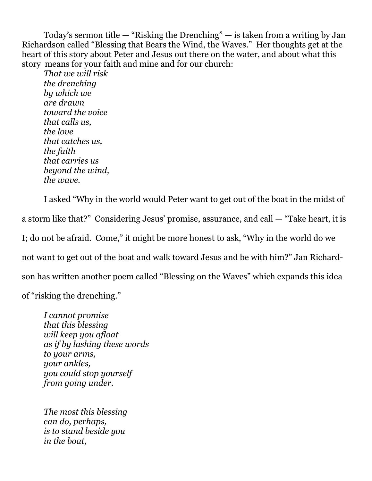Today's sermon title  $-$  "Risking the Drenching"  $-$  is taken from a writing by Jan Richardson called "Blessing that Bears the Wind, the Waves." Her thoughts get at the heart of this story about Peter and Jesus out there on the water, and about what this story means for your faith and mine and for our church:

*That we will risk the drenching by which we are drawn toward the voice that calls us, the love that catches us, the faith that carries us beyond the wind, the wave.*

I asked "Why in the world would Peter want to get out of the boat in the midst of a storm like that?" Considering Jesus' promise, assurance, and call — "Take heart, it is I; do not be afraid. Come," it might be more honest to ask, "Why in the world do we not want to get out of the boat and walk toward Jesus and be with him?" Jan Richardson has written another poem called "Blessing on the Waves" which expands this idea of "risking the drenching."

*I cannot promise that this blessing will keep you afloat as if by lashing these words to your arms, your ankles, you could stop yourself from going under.*

*The most this blessing can do, perhaps, is to stand beside you in the boat,*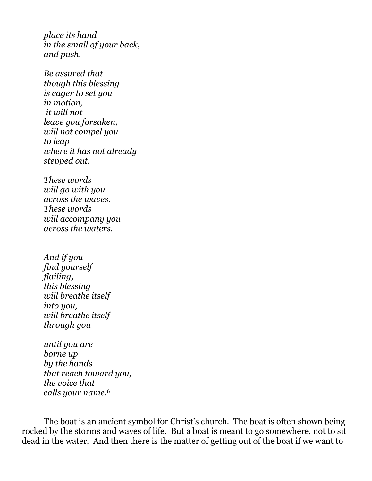*place its hand in the small of your back, and push.*

*Be assured that though this blessing is eager to set you in motion, it will not leave you forsaken, will not compel you to leap where it has not already stepped out.*

*These words will go with you across the waves. These words will accompany you across the waters.*

*And if you find yourself flailing, this blessing will breathe itself into you, will breathe itself through you*

*until you are borne up by the hands that reach toward you, the voice that calls your name.*<sup>6</sup>

The boat is an ancient symbol for Christ's church. The boat is often shown being rocked by the storms and waves of life. But a boat is meant to go somewhere, not to sit dead in the water. And then there is the matter of getting out of the boat if we want to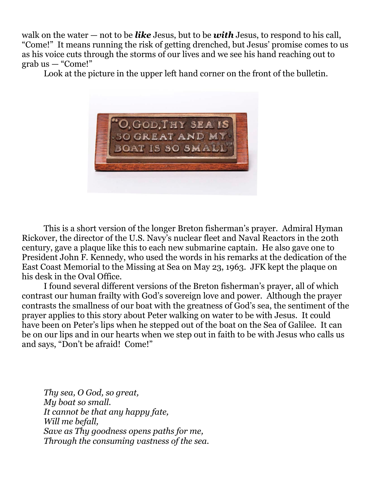walk on the water — not to be *like* Jesus, but to be *with* Jesus, to respond to his call, "Come!" It means running the risk of getting drenched, but Jesus' promise comes to us as his voice cuts through the storms of our lives and we see his hand reaching out to  $graph us - "Come!"$ 

Look at the picture in the upper left hand corner on the front of the bulletin.



This is a short version of the longer Breton fisherman's prayer. Admiral Hyman Rickover, the director of the U.S. Navy's nuclear fleet and Naval Reactors in the 20th century, gave a plaque like this to each new submarine captain. He also gave one to President John F. Kennedy, who used the words in his remarks at the dedication of the East Coast Memorial to the Missing at Sea on May 23, 1963. JFK kept the plaque on his desk in the Oval Office.

I found several different versions of the Breton fisherman's prayer, all of which contrast our human frailty with God's sovereign love and power. Although the prayer contrasts the smallness of our boat with the greatness of God's sea, the sentiment of the prayer applies to this story about Peter walking on water to be with Jesus. It could have been on Peter's lips when he stepped out of the boat on the Sea of Galilee. It can be on our lips and in our hearts when we step out in faith to be with Jesus who calls us and says, "Don't be afraid! Come!"

*Thy sea, O God, so great, My boat so small. It cannot be that any happy fate, Will me befall, Save as Thy goodness opens paths for me, Through the consuming vastness of the sea.*